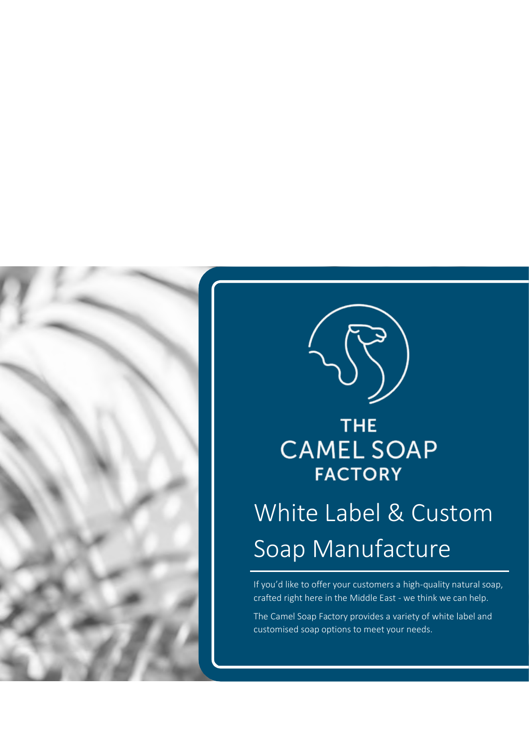



### THE. **CAMEL SOAP FACTORY**

## White Label & Custom Soap Manufacture

If you'd like to offer your customers a high-quality natural soap, crafted right here in the Middle East - we think we can help.

The Camel Soap Factory provides a variety of white label and customised soap options to meet your needs.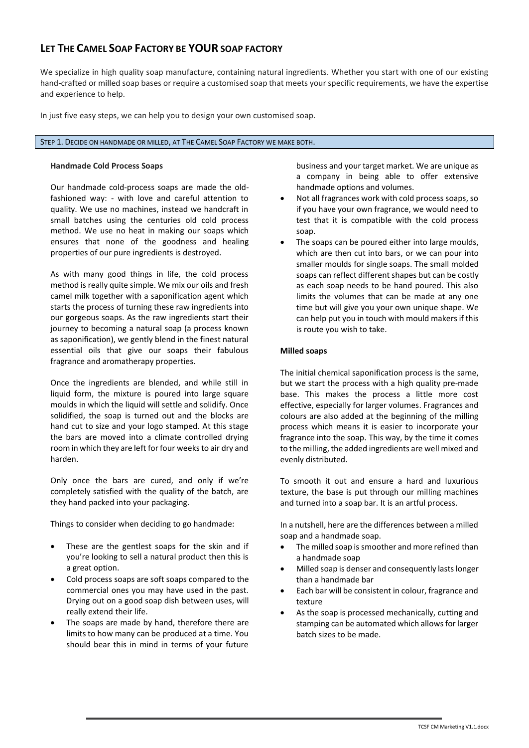#### **LET THE CAMEL SOAP FACTORY BE YOUR SOAP FACTORY**

We specialize in high quality soap manufacture, containing natural ingredients. Whether you start with one of our existing hand-crafted or milled soap bases or require a customised soap that meets your specific requirements, we have the expertise and experience to help.

In just five easy steps, we can help you to design your own customised soap.

#### STEP 1. DECIDE ON HANDMADE OR MILLED, AT THE CAMEL SOAP FACTORY WE MAKE BOTH.

#### **Handmade Cold Process Soaps**

Our handmade cold-process soaps are made the oldfashioned way: - with love and careful attention to quality. We use no machines, instead we handcraft in small batches using the centuries old cold process method. We use no heat in making our soaps which ensures that none of the goodness and healing properties of our pure ingredients is destroyed.

As with many good things in life, the cold process method is really quite simple. We mix our oils and fresh camel milk together with a saponification agent which starts the process of turning these raw ingredients into our gorgeous soaps. As the raw ingredients start their journey to becoming a natural soap (a process known as saponification), we gently blend in the finest natural essential oils that give our soaps their fabulous fragrance and aromatherapy properties.

Once the ingredients are blended, and while still in liquid form, the mixture is poured into large square moulds in which the liquid will settle and solidify. Once solidified, the soap is turned out and the blocks are hand cut to size and your logo stamped. At this stage the bars are moved into a climate controlled drying room in which they are left for four weeks to air dry and harden.

Only once the bars are cured, and only if we're completely satisfied with the quality of the batch, are they hand packed into your packaging.

Things to consider when deciding to go handmade:

- These are the gentlest soaps for the skin and if you're looking to sell a natural product then this is a great option.
- Cold process soaps are soft soaps compared to the commercial ones you may have used in the past. Drying out on a good soap dish between uses, will really extend their life.
- The soaps are made by hand, therefore there are limits to how many can be produced at a time. You should bear this in mind in terms of your future

business and your target market. We are unique as a company in being able to offer extensive handmade options and volumes.

- Not all fragrances work with cold process soaps, so if you have your own fragrance, we would need to test that it is compatible with the cold process soap.
- The soaps can be poured either into large moulds, which are then cut into bars, or we can pour into smaller moulds for single soaps. The small molded soaps can reflect different shapes but can be costly as each soap needs to be hand poured. This also limits the volumes that can be made at any one time but will give you your own unique shape. We can help put you in touch with mould makers if this is route you wish to take.

#### **Milled soaps**

The initial chemical saponification process is the same, but we start the process with a high quality pre-made base. This makes the process a little more cost effective, especially for larger volumes. Fragrances and colours are also added at the beginning of the milling process which means it is easier to incorporate your fragrance into the soap. This way, by the time it comes to the milling, the added ingredients are well mixed and evenly distributed.

To smooth it out and ensure a hard and luxurious texture, the base is put through our milling machines and turned into a soap bar. It is an artful process.

In a nutshell, here are the differences between a milled soap and a handmade soap.

- The milled soap is smoother and more refined than a handmade soap
- Milled soap is denser and consequently lasts longer than a handmade bar
- Each bar will be consistent in colour, fragrance and texture
- As the soap is processed mechanically, cutting and stamping can be automated which allows for larger batch sizes to be made.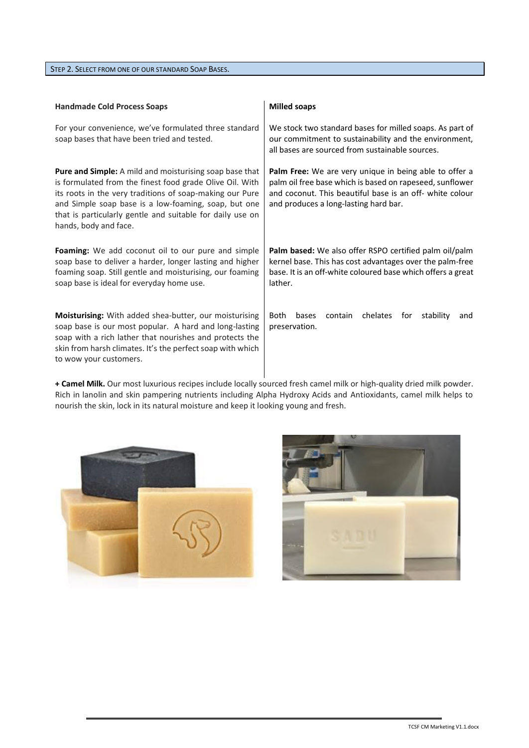STEP 2. SELECT FROM ONE OF OUR STANDARD SOAP BASES.

| <b>Handmade Cold Process Soaps</b>                                                                                                                                                                                                                                                                                            | <b>Milled soaps</b>                                                                                                                                                                                                     |
|-------------------------------------------------------------------------------------------------------------------------------------------------------------------------------------------------------------------------------------------------------------------------------------------------------------------------------|-------------------------------------------------------------------------------------------------------------------------------------------------------------------------------------------------------------------------|
| For your convenience, we've formulated three standard<br>soap bases that have been tried and tested.                                                                                                                                                                                                                          | We stock two standard bases for milled soaps. As part of<br>our commitment to sustainability and the environment,<br>all bases are sourced from sustainable sources.                                                    |
| Pure and Simple: A mild and moisturising soap base that<br>is formulated from the finest food grade Olive Oil. With<br>its roots in the very traditions of soap-making our Pure<br>and Simple soap base is a low-foaming, soap, but one<br>that is particularly gentle and suitable for daily use on<br>hands, body and face. | Palm Free: We are very unique in being able to offer a<br>palm oil free base which is based on rapeseed, sunflower<br>and coconut. This beautiful base is an off- white colour<br>and produces a long-lasting hard bar. |
| Foaming: We add coconut oil to our pure and simple<br>soap base to deliver a harder, longer lasting and higher<br>foaming soap. Still gentle and moisturising, our foaming<br>soap base is ideal for everyday home use.                                                                                                       | Palm based: We also offer RSPO certified palm oil/palm<br>kernel base. This has cost advantages over the palm-free<br>base. It is an off-white coloured base which offers a great<br>lather.                            |
| <b>Moisturising:</b> With added shea-butter, our moisturising<br>soap base is our most popular. A hard and long-lasting<br>soap with a rich lather that nourishes and protects the<br>skin from harsh climates. It's the perfect soap with which<br>to wow your customers.                                                    | <b>Both</b><br>bases<br>chelates<br>contain<br>for<br>stability<br>and<br>preservation.                                                                                                                                 |

**+ Camel Milk.** Our most luxurious recipes include locally sourced fresh camel milk or high-quality dried milk powder. Rich in lanolin and skin pampering nutrients including Alpha Hydroxy Acids and Antioxidants, camel milk helps to nourish the skin, lock in its natural moisture and keep it looking young and fresh.



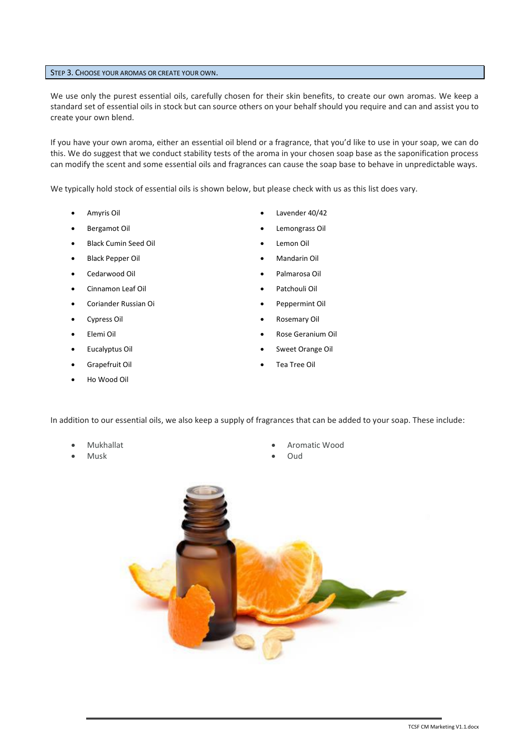#### STEP 3. CHOOSE YOUR AROMAS OR CREATE YOUR OWN.

We use only the purest essential oils, carefully chosen for their skin benefits, to create our own aromas. We keep a standard set of essential oils in stock but can source others on your behalf should you require and can and assist you to create your own blend.

If you have your own aroma, either an essential oil blend or a fragrance, that you'd like to use in your soap, we can do this. We do suggest that we conduct stability tests of the aroma in your chosen soap base as the saponification process can modify the scent and some essential oils and fragrances can cause the soap base to behave in unpredictable ways.

We typically hold stock of essential oils is shown below, but please check with us as this list does vary.

- 
- 
- **Black Cumin Seed Oil •** Lemon Oil **•** Lemon Oil
- 
- 
- Cinnamon Leaf Oil Patchouli Oil
- Coriander Russian Oi Peppermint Oil
- 
- 
- 
- 
- Ho Wood Oil
- Amyris Oil Lavender 40/42
- Bergamot Oil Lemongrass Oil
	-
- Black Pepper Oil Mandarin Oil
- Cedarwood Oil Palmarosa Oil
	-
	-
- Elemi Oil Rose Geranium Oil
- Eucalyptus Oil Sweet Orange Oil
- Grapefruit Oil Tea Tree Oil

In addition to our essential oils, we also keep a supply of fragrances that can be added to your soap. These include:

- 
- Musk Oud
- Mukhallat Aromatic Wood
	-



- 
- 
- 
- 
- 
- 
- Cypress Oil Rosemary Oil
	-
	-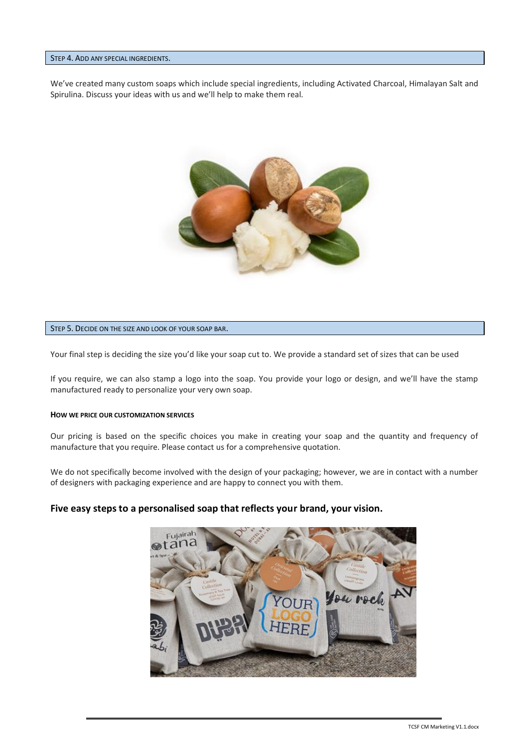#### STEP 4. ADD ANY SPECIAL INGREDIENTS.

We've created many custom soaps which include special ingredients, including Activated Charcoal, Himalayan Salt and Spirulina. Discuss your ideas with us and we'll help to make them real.



#### STEP 5. DECIDE ON THE SIZE AND LOOK OF YOUR SOAP BAR.

Your final step is deciding the size you'd like your soap cut to. We provide a standard set of sizes that can be used

If you require, we can also stamp a logo into the soap. You provide your logo or design, and we'll have the stamp manufactured ready to personalize your very own soap.

#### **HOW WE PRICE OUR CUSTOMIZATION SERVICES**

Our pricing is based on the specific choices you make in creating your soap and the quantity and frequency of manufacture that you require. Please contact us for a comprehensive quotation.

We do not specifically become involved with the design of your packaging; however, we are in contact with a number of designers with packaging experience and are happy to connect you with them.

#### **Five easy steps to a personalised soap that reflects your brand, your vision.**

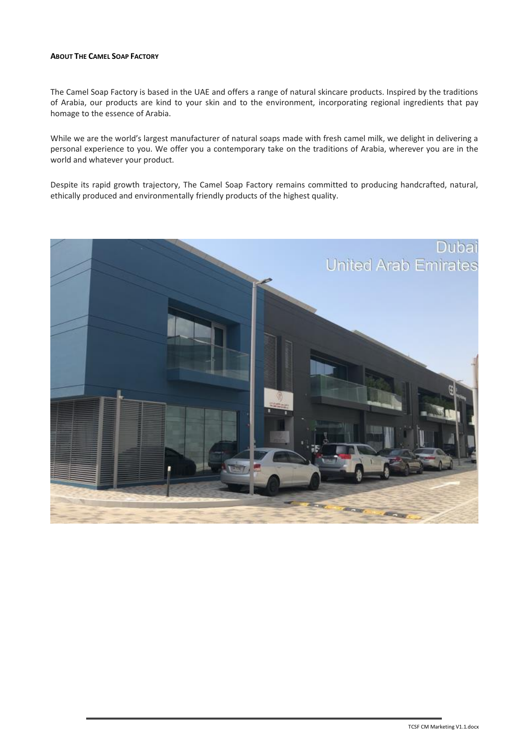#### **ABOUT THE CAMEL SOAP FACTORY**

The Camel Soap Factory is based in the UAE and offers a range of natural skincare products. Inspired by the traditions of Arabia, our products are kind to your skin and to the environment, incorporating regional ingredients that pay homage to the essence of Arabia.

While we are the world's largest manufacturer of natural soaps made with fresh camel milk, we delight in delivering a personal experience to you. We offer you a contemporary take on the traditions of Arabia, wherever you are in the world and whatever your product.

Despite its rapid growth trajectory, The Camel Soap Factory remains committed to producing handcrafted, natural, ethically produced and environmentally friendly products of the highest quality.